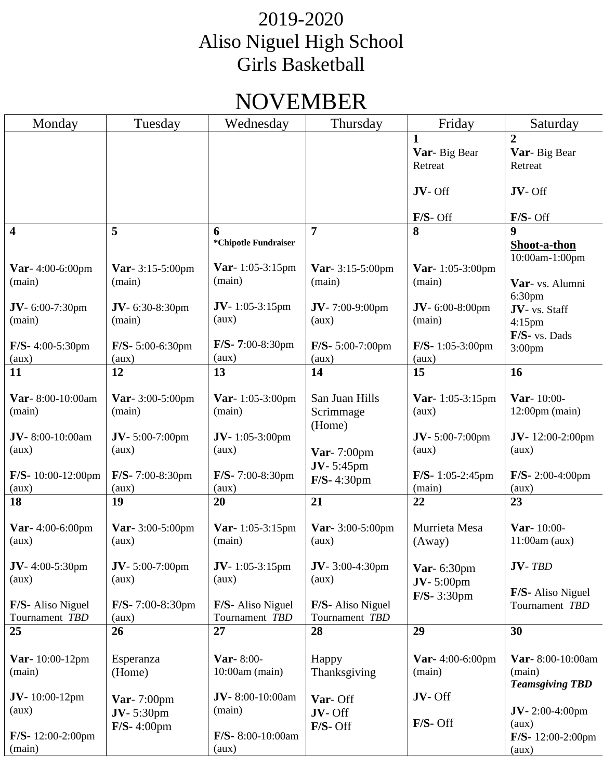## NOVEMBER

| Monday                      | Tuesday                               | Wednesday                         | Thursday                    | Friday                            | Saturday                               |
|-----------------------------|---------------------------------------|-----------------------------------|-----------------------------|-----------------------------------|----------------------------------------|
|                             |                                       |                                   |                             | 1                                 | $\overline{2}$                         |
|                             |                                       |                                   |                             | Var-Big Bear                      | Var-Big Bear                           |
|                             |                                       |                                   |                             | Retreat                           | Retreat                                |
|                             |                                       |                                   |                             |                                   |                                        |
|                             |                                       |                                   |                             | JV-Off                            | JV-Off                                 |
|                             |                                       |                                   |                             |                                   |                                        |
|                             |                                       |                                   |                             | $F/S$ - Off                       | $F/S$ - Off                            |
| $\overline{\mathbf{4}}$     | 5                                     | 6<br>*Chipotle Fundraiser         | 7                           | 8                                 | $\boldsymbol{9}$                       |
|                             |                                       |                                   |                             |                                   | Shoot-a-thon                           |
| Var- 4:00-6:00pm            | <b>Var</b> - $3:15-5:00$ pm           | <b>Var</b> -1:05-3:15pm           | <b>Var</b> - $3:15-5:00$ pm | Var- 1:05-3:00pm                  | 10:00am-1:00pm                         |
| (main)                      | (main)                                | (main)                            | (main)                      | (main)                            | Var- vs. Alumni                        |
|                             |                                       |                                   |                             |                                   | 6:30pm                                 |
| $JV - 6:00-7:30$ pm         | $JV - 6:30-8:30$ pm                   | $JV-1:05-3:15pm$                  | $JV - 7:00 - 9:00$ pm       | $JV - 6:00-8:00$ pm               | JV- vs. Staff                          |
| (main)                      | (main)                                | (aux)                             | (aux)                       | (main)                            | $4:15$ pm                              |
|                             |                                       |                                   |                             |                                   | F/S- vs. Dads                          |
| $F/S-4:00-5:30$ pm          | $F/S - 5:00 - 6:30$ pm                | $F/S-7:00-8:30$ pm                | $F/S - 5:00 - 7:00$ pm      | $F/S-1:05-3:00$ pm                | 3:00 <sub>pm</sub>                     |
| (aux)                       | (aux)                                 | (aux)                             | (aux)                       | (aux)                             |                                        |
| 11                          | 12                                    | 13                                | 14                          | 15                                | 16                                     |
|                             |                                       |                                   | San Juan Hills              |                                   |                                        |
| Var-8:00-10:00am<br>(main)  | <b>Var</b> - $3:00-5:00$ pm<br>(main) | <b>Var</b> -1:05-3:00pm<br>(main) | Scrimmage                   | <b>Var</b> - 1:05-3:15pm<br>(aux) | Var-10:00-<br>$12:00 \text{pm}$ (main) |
|                             |                                       |                                   | (Home)                      |                                   |                                        |
| JV-8:00-10:00am             | $JV - 5:00-7:00$ pm                   | $JV-1:05-3:00$ pm                 |                             | $JV - 5:00-7:00$ pm               | JV- $12:00-2:00$ pm                    |
| (aux)                       | (aux)                                 | (aux)                             | Var- 7:00pm                 | (aux)                             | (aux)                                  |
|                             |                                       |                                   | <b>JV</b> -5:45pm           |                                   |                                        |
| $F/S-10:00-12:00$ pm        | $F/S-7:00-8:30$ pm                    | F/S-7:00-8:30pm                   | F/S- 4:30pm                 | $F/S-1:05-2:45$ pm                | $F/S-2:00-4:00$ pm                     |
| (aux)                       | (aux)                                 | (aux)                             |                             | (main)                            | (aux)                                  |
| 18                          | 19                                    | 20                                | 21                          | 22                                | 23                                     |
|                             |                                       |                                   |                             |                                   |                                        |
| <b>Var</b> - $4:00$ -6:00pm | Var- $3:00-5:00$ pm                   | <b>Var</b> -1:05-3:15pm           | Var- 3:00-5:00pm            | Murrieta Mesa                     | Var-10:00-                             |
| (aux)                       | (aux)                                 | (main)                            | (aux)                       | (Away)                            | $11:00am$ (aux)                        |
| $JV-4:00-5:30$ pm           | $JV - 5:00-7:00$ pm                   | $JV-1:05-3:15pm$                  | $JV - 3:00 - 4:30$ pm       |                                   | $JV- TBD$                              |
| (aux)                       | (aux)                                 | (aux)                             | (aux)                       | Var- 6:30pm                       |                                        |
|                             |                                       |                                   |                             | $JV - 5:00$ pm                    | F/S- Aliso Niguel                      |
| F/S- Aliso Niguel           | $F/S - 7:00 - 8:30$ pm                | <b>F/S-</b> Aliso Niguel          | F/S- Aliso Niguel           | $F/S-3:30pm$                      | Tournament TBD                         |
| Tournament TBD              | (aux)                                 | Tournament TBD                    | Tournament TBD              |                                   |                                        |
| 25                          | 26                                    | 27                                | 28                          | 29                                | 30                                     |
|                             |                                       |                                   |                             |                                   |                                        |
| <b>Var</b> -10:00-12pm      | Esperanza                             | Var-8:00-                         | Happy                       | <b>Var</b> - $4:00$ -6:00pm       | Var-8:00-10:00am                       |
| (main)                      | (Home)                                | $10:00$ am (main)                 | Thanksgiving                | (main)                            | (main)                                 |
|                             |                                       |                                   |                             |                                   | <b>Teamsgiving TBD</b>                 |
| $JV-10:00-12pm$             | Var- $7:00$ pm                        | JV-8:00-10:00am                   | Var-Off                     | JV-Off                            |                                        |
| (aux)                       | $JV - 5:30$ pm                        | (main)                            | JV-Off                      |                                   | $JV-2:00-4:00$ pm                      |
|                             | $F/S-4:00$ pm                         |                                   | $F/S$ - Off                 | F/S-Off                           | (aux)                                  |
| $F/S-12:00-2:00 \text{pm}$  |                                       | $F/S-8:00-10:00am$                |                             |                                   | $F/S-12:00-2:00$ pm                    |
| (main)                      |                                       | (aux)                             |                             |                                   | (aux)                                  |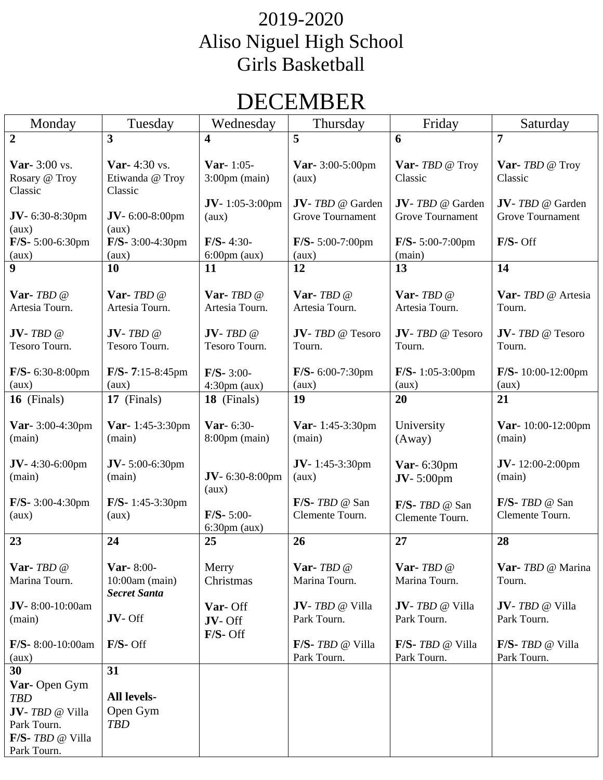## DECEMBER

| Monday                                                                                                         | Tuesday                                                                       | Wednesday                                                                   | Thursday                                                         | Friday                                                                           | Saturday                                                                 |
|----------------------------------------------------------------------------------------------------------------|-------------------------------------------------------------------------------|-----------------------------------------------------------------------------|------------------------------------------------------------------|----------------------------------------------------------------------------------|--------------------------------------------------------------------------|
| $\overline{2}$                                                                                                 | 3                                                                             | 4                                                                           | 5                                                                | 6                                                                                | 7                                                                        |
| <b>Var-</b> 3:00 vs.<br>Rosary @ Troy<br>Classic<br>$JV - 6:30-8:30$ pm<br>(aux)                               | <b>Var-</b> 4:30 vs.<br>Etiwanda @ Troy<br>Classic<br>JV-6:00-8:00pm<br>(aux) | Var- $1:05$ -<br>$3:00 \text{pm}$ (main)<br><b>JV</b> -1:05-3:00pm<br>(aux) | Var- 3:00-5:00pm<br>(aux)<br>JV-TBD @ Garden<br>Grove Tournament | <b>Var-</b> $TBD \otimes Troy$<br>Classic<br>JV-TBD @ Garden<br>Grove Tournament | Var- TBD @ Troy<br>Classic<br>JV-TBD @ Garden<br><b>Grove Tournament</b> |
| F/S- 5:00-6:30pm                                                                                               | $F/S-3:00-4:30$ pm                                                            | $F/S-4:30-$                                                                 | $F/S-5:00-7:00$ pm                                               | $F/S - 5:00-7:00$ pm                                                             | $F/S$ - Off                                                              |
| (aux)                                                                                                          | (aux)                                                                         | $6:00 \text{pm}$ (aux)                                                      | (aux)                                                            | (main)                                                                           |                                                                          |
| $\boldsymbol{9}$                                                                                               | 10                                                                            | 11                                                                          | 12                                                               | 13                                                                               | 14                                                                       |
| Var-TBD@<br>Artesia Tourn.<br>$JV$ - TBD @                                                                     | Var-TBD@<br>Artesia Tourn.<br>$JV$ - TBD @                                    | Var-TBD@<br>Artesia Tourn.<br>$JV$ - TBD @                                  | Var-TBD@<br>Artesia Tourn.<br>JV-TBD @ Tesoro                    | Var-TBD@<br>Artesia Tourn.<br>JV-TBD @ Tesoro                                    | Var- TBD @ Artesia<br>Tourn.<br>JV-TBD @ Tesoro                          |
| Tesoro Tourn.                                                                                                  | Tesoro Tourn.                                                                 | Tesoro Tourn.                                                               | Tourn.                                                           | Tourn.                                                                           | Tourn.                                                                   |
| $F/S-6:30-8:00$ pm<br>(aux)                                                                                    | $F/S - 7:15-8:45$ pm<br>(aux)                                                 | $F/S-3:00-$<br>$4:30 \text{pm}$ (aux)                                       | $F/S-6:00-7:30$ pm<br>(aux)                                      | $F/S-1:05-3:00$ pm<br>(aux)                                                      | $F/S-10:00-12:00$ pm<br>(aux)                                            |
| 16 (Finals)                                                                                                    | 17 (Finals)                                                                   | 18 (Finals)                                                                 | 19                                                               | 20                                                                               | 21                                                                       |
| Var- 3:00-4:30pm<br>(main)                                                                                     | <b>Var</b> - 1:45-3:30pm<br>(main)                                            | <b>Var</b> - $6:30$ -<br>$8:00 \text{pm}$ (main)                            | <b>Var</b> - 1:45-3:30pm<br>(main)                               | University<br>(Away)                                                             | Var-10:00-12:00pm<br>(main)                                              |
| $JV - 4:30 - 6:00$ pm<br>(main)                                                                                | JV-5:00-6:30pm<br>(main)                                                      | JV-6:30-8:00pm<br>(aux)                                                     | JV-1:45-3:30pm<br>(aux)                                          | Var- 6:30pm<br>$JV - 5:00$ pm                                                    | $JV-12:00-2:00$ pm<br>(main)                                             |
| $F/S-3:00-4:30$ pm<br>(aux)                                                                                    | $F/S-1:45-3:30$ pm<br>(aux)                                                   | $F/S-5:00-$<br>$6:30 \text{pm}$ (aux)                                       | F/S- TBD @ San<br>Clemente Tourn.                                | $F/S$ - TBD @ San<br>Clemente Tourn.                                             | $F/S$ - TBD @ San<br>Clemente Tourn.                                     |
| 23                                                                                                             | 24                                                                            | 25                                                                          | 26                                                               | 27                                                                               | 28                                                                       |
| Var- $TBD$ $@$<br>Marina Tourn.                                                                                | Var-8:00-<br>$10:00$ am (main)<br><b>Secret Santa</b>                         | Merry<br>Christmas                                                          | Var- $TBD@$<br>Marina Tourn.                                     | Var- $TBD$ $@$<br>Marina Tourn.                                                  | Var- TBD @ Marina<br>Tourn.                                              |
| JV-8:00-10:00am<br>(main)                                                                                      | JV-Off                                                                        | Var-Off<br>JV-Off<br>$F/S$ - Off                                            | JV-TBD @ Villa<br>Park Tourn.                                    | JV-TBD @ Villa<br>Park Tourn.                                                    | JV-TBD @ Villa<br>Park Tourn.                                            |
| $F/S-8:00-10:00am$<br>(aux)                                                                                    | $F/S$ - Off                                                                   |                                                                             | F/S- TBD @ Villa<br>Park Tourn.                                  | $F/S$ - <i>TBD</i> @ Villa<br>Park Tourn.                                        | $F/S$ - <i>TBD</i> @ Villa<br>Park Tourn.                                |
| 30<br>Var-Open Gym<br><b>TBD</b><br>JV-TBD @ Villa<br>Park Tourn.<br>$F/S$ - <i>TBD</i> @ Villa<br>Park Tourn. | 31<br><b>All levels-</b><br>Open Gym<br><b>TBD</b>                            |                                                                             |                                                                  |                                                                                  |                                                                          |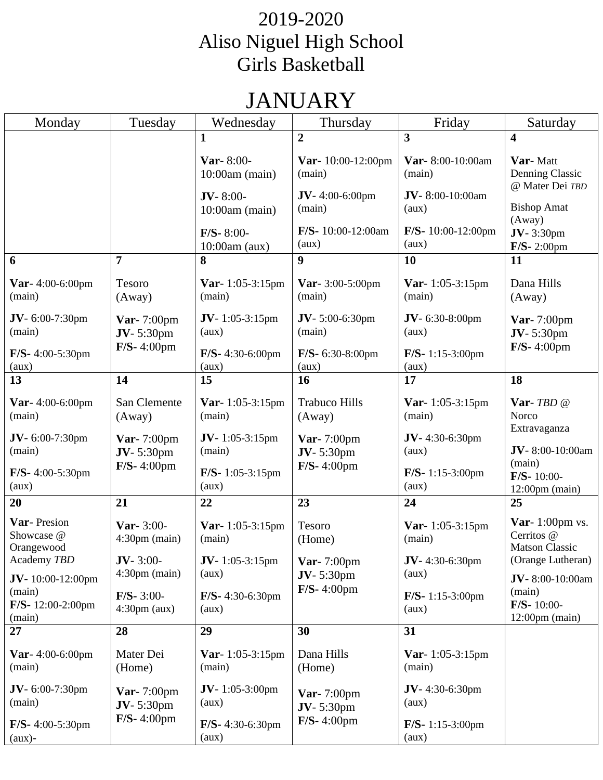# JANUARY

| Monday                                  | Tuesday                                          | Wednesday                         | Thursday                         | Friday                             | Saturday                                                  |
|-----------------------------------------|--------------------------------------------------|-----------------------------------|----------------------------------|------------------------------------|-----------------------------------------------------------|
|                                         |                                                  | $\mathbf{1}$                      | $\overline{2}$                   | 3                                  | $\overline{\mathbf{4}}$                                   |
|                                         |                                                  | Var- $8:00-$<br>$10:00$ am (main) | Var- $10:00-12:00$ pm<br>(main)  | Var-8:00-10:00am<br>(main)         | Var-Matt<br>Denning Classic<br>@ Mater Dei TBD            |
|                                         |                                                  | $JV-8:00-$<br>$10:00$ am (main)   | $JV-4:00-6:00$ pm<br>(main)      | JV-8:00-10:00am<br>(aux)           | <b>Bishop Amat</b><br>(Away)                              |
|                                         |                                                  | $F/S-8:00-$<br>$10:00$ am $(aux)$ | F/S- 10:00-12:00am<br>(aux)      | F/S-10:00-12:00pm<br>(aux)         | $JV-3:30pm$<br>$F/S-2:00$ pm                              |
| 6                                       | 7                                                | 8                                 | 9                                | 10                                 | 11                                                        |
| Var- 4:00-6:00pm<br>(main)              | Tesoro<br>(Away)                                 | <b>Var</b> -1:05-3:15pm<br>(main) | Var- 3:00-5:00pm<br>(main)       | <b>Var</b> -1:05-3:15pm<br>(main)  | Dana Hills<br>(Away)                                      |
| $JV - 6:00-7:30$ pm<br>(main)           | Var- $7:00$ pm<br>$JV - 5:30$ pm                 | <b>JV</b> -1:05-3:15pm<br>(aux)   | JV-5:00-6:30pm<br>(main)         | $JV - 6:30-8:00$ pm<br>(aux)       | Var- 7:00pm<br><b>JV</b> -5:30pm                          |
| $F/S-4:00-5:30$ pm<br>(aux)             | $F/S-4:00$ pm                                    | $F/S-4:30-6:00$ pm<br>(aux)       | $F/S-6:30-8:00$ pm<br>(aux)      | $F/S-1:15-3:00$ pm<br>(aux)        | $F/S-4:00$ pm                                             |
| 13                                      | 14                                               | 15                                | 16                               | 17                                 | 18                                                        |
| <b>Var</b> - $4:00$ -6:00pm<br>(main)   | San Clemente<br>(Away)                           | <b>Var</b> -1:05-3:15pm<br>(main) | <b>Trabuco Hills</b><br>(Away)   | <b>Var</b> -1:05-3:15pm<br>(main)  | Var-TBD@<br>Norco                                         |
| $JV - 6:00-7:30$ pm<br>(main)           | Var- 7:00pm<br>$JV - 5:30$ pm                    | $JV-1:05-3:15pm$<br>(main)        | Var- 7:00pm<br><b>JV</b> -5:30pm | $JV - 4:30 - 6:30$ pm<br>(aux)     | Extravaganza<br>JV-8:00-10:00am                           |
| $F/S-4:00-5:30$ pm<br>(aux)             | $F/S-4:00$ pm                                    | $F/S-1:05-3:15$ pm<br>(aux)       | $F/S-4:00$ pm                    | $F/S-1:15-3:00$ pm<br>(aux)        | (main)<br>$F/S-10:00-$<br>$12:00 \text{pm}$ (main)        |
| 20                                      | 21                                               | 22                                | 23                               | 24                                 | 25                                                        |
| Var-Presion<br>Showcase @<br>Orangewood | <b>Var</b> - $3:00$ -<br>$4:30 \text{pm}$ (main) | Var-1:05-3:15pm<br>(main)         | Tesoro<br>(Home)                 | <b>Var</b> -1:05-3:15pm<br>(main)  | Var- $1:00$ pm vs.<br>Cerritos @<br><b>Matson Classic</b> |
| Academy TBD<br>$JV-10:00-12:00$ pm      | $JV - 3:00-$<br>$4:30 \text{pm}$ (main)          | <b>JV</b> -1:05-3:15pm<br>(aux)   | Var- $7:00$ pm<br>$JV-5:30pm$    | $JV - 4:30 - 6:30$ pm<br>(aux)     | (Orange Lutheran)<br>JV-8:00-10:00am                      |
| (main)<br>$F/S-12:00-2:00$ pm<br>(main) | $F/S - 3:00-$<br>$4:30 \text{pm}$ (aux)          | $F/S-4:30-6:30$ pm<br>(aux)       | $F/S-4:00 \text{pm}$             | $F/S-1:15-3:00$ pm<br>(aux)        | (main)<br>$F/S-10:00-$<br>$12:00 \text{pm}$ (main)        |
| 27                                      | 28                                               | 29                                | 30                               | 31                                 |                                                           |
| <b>Var</b> - $4:00$ -6:00pm<br>(main)   | Mater Dei<br>(Home)                              | <b>Var</b> -1:05-3:15pm<br>(main) | Dana Hills<br>(Home)             | <b>Var</b> -1:05-3:15pm<br>(main)  |                                                           |
| $JV - 6:00-7:30$ pm<br>(main)           | Var- $7:00$ pm<br>$JV - 5:30pm$                  | <b>JV</b> -1:05-3:00pm<br>(aux)   | Var- $7:00$ pm<br>$JV - 5:30pm$  | $JV - 4:30 - 6:30$ pm<br>(aux)     |                                                           |
| $F/S-4:00-5:30 \text{pm}$<br>$(aux)$ -  | $F/S-4:00$ pm                                    | $F/S-4:30-6:30$ pm<br>(aux)       | $F/S-4:00$ pm                    | $F/S-1:15-3:00 \text{pm}$<br>(aux) |                                                           |